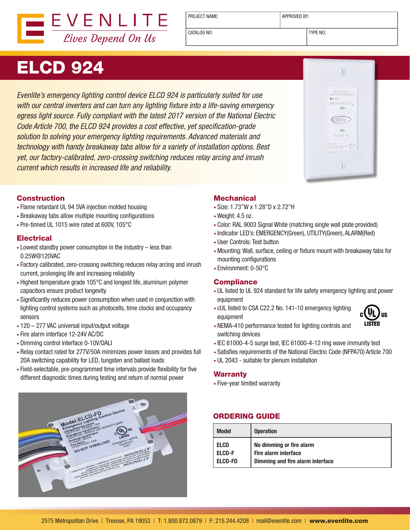

PROJECT NAME: <br> APPROVED BY:

CATALOG NO: TYPE NO:

# ELCD 924

*Evenlite's emergency lighting control device ELCD 924 is particularly suited for use with our central inverters and can turn any lighting fixture into a life-saving emergency egress light source. Fully compliant with the latest 2017 version of the National Electric Code Article 700, the ELCD 924 provides a cost effective, yet specification-grade solution to solving your emergency lighting requirements. Advanced materials and technology with handy breakaway tabs allow for a variety of installation options. Best yet, our factory-calibrated, zero-crossing switching reduces relay arcing and inrush current which results in increased life and reliability.*

## Construction

- Flame retardant UL 94 5VA injection molded housing
- Breakaway tabs allow multiple mounting configurations
- Pre-tinned UL 1015 wire rated at 600V, 105°C

## **Electrical**

- Lowest standby power consumption in the industry less than 0.25W@120VAC
- Factory calibrated, zero-crossing switching reduces relay arcing and inrush current, prolonging life and increasing reliability
- Highest temperature grade 105°C and longest life, aluminum polymer capacitors ensure product longevity
- Significantly reduces power consumption when used in conjunction with lighting control systems such as photocells, time clocks and occupancy sensors
- 120 277 VAC universal input/output voltage
- Fire alarm interface 12-24V AC/DC
- Dimming control interface 0-10V/DALI
- Relay contact rated for 277V/50A minimizes power losses and provides full 20A switching capability for LED, tungsten and ballast loads
- Field-selectable, pre-programmed time intervals provide flexibility for five different diagnostic times during testing and return of normal power

# Model:ELCD-FDontrol Dev **CONTRACTOR CONTRACTOR CONTRACTOR (CONTRACTOR)**

## **Mechanical**

- Size: 1.73"W x 1.28"D x 2.72"H
- Weight: 4.5 oz.
- Color: RAL 9003 Signal White (matching single wall plate provided)
- Indicator LED's: EMERGENCY(Green), UTILITY(Green), ALARM(Red)
- User Controls: Test button
- Mounting: Wall, surface, ceiling or fixture mount with breakaway tabs for mounting configurations
- Environment: 0-50°C

#### **Compliance**

- UL listed to UL 924 standard for life safety emergency lighting and power equipment
- cUL listed to CSA C22.2 No. 141-10 emergency lighting equipment



- NEMA-410 performance tested for lighting controls and switching devices
- IEC 61000-4-5 surge test, IEC 61000-4-12 ring wave immunity test
- Satisfies requirements of the National Electric Code (NFPA70) Article 700
- UL 2043 suitable for plenum installation

#### **Warranty**

• Five-year limited warranty

# ORDERING GUIDE

| <b>Model</b>   | <b>Operation</b>                 |
|----------------|----------------------------------|
| <b>ELCD</b>    | No dimming or fire alarm         |
| <b>ELCD-F</b>  | Fire alarm interface             |
| <b>ELCD-FD</b> | Dimming and fire alarm interface |